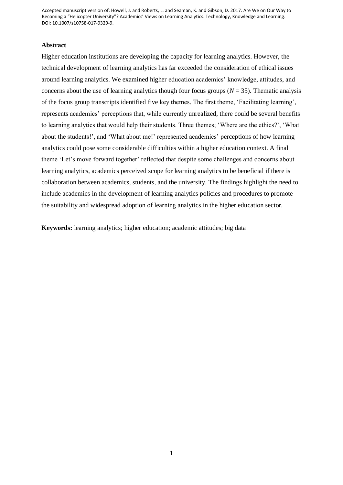Accepted manuscript version of: Howell, J. and Roberts, L. and Seaman, K. and Gibson, D. 2017. Are We on Our Way to Becoming a "Helicopter University"? Academics' Views on Learning Analytics. Technology, Knowledge and Learning. DOI: 10.1007/s10758-017-9329-9.

### **Abstract**

Higher education institutions are developing the capacity for learning analytics. However, the technical development of learning analytics has far exceeded the consideration of ethical issues around learning analytics. We examined higher education academics' knowledge, attitudes, and concerns about the use of learning analytics though four focus groups  $(N = 35)$ . Thematic analysis of the focus group transcripts identified five key themes. The first theme, 'Facilitating learning', represents academics' perceptions that, while currently unrealized, there could be several benefits to learning analytics that would help their students. Three themes; 'Where are the ethics?', 'What about the students!', and 'What about me!' represented academics' perceptions of how learning analytics could pose some considerable difficulties within a higher education context. A final theme 'Let's move forward together' reflected that despite some challenges and concerns about learning analytics, academics perceived scope for learning analytics to be beneficial if there is collaboration between academics, students, and the university. The findings highlight the need to include academics in the development of learning analytics policies and procedures to promote the suitability and widespread adoption of learning analytics in the higher education sector.

**Keywords:** learning analytics; higher education; academic attitudes; big data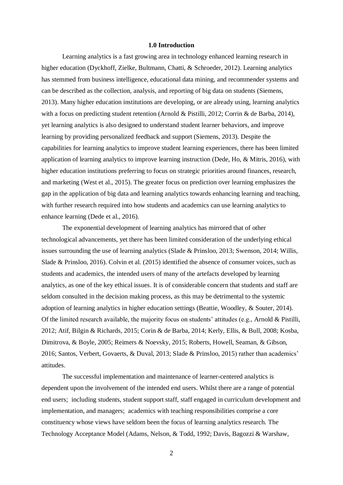### **1.0 Introduction**

Learning analytics is a fast growing area in technology enhanced learning research in higher education (Dyckhoff, Zielke, Bultmann, Chatti, & Schroeder, 2012). Learning analytics has stemmed from business intelligence, educational data mining, and recommender systems and can be described as the collection, analysis, and reporting of big data on students (Siemens, 2013). Many higher education institutions are developing, or are already using, learning analytics with a focus on predicting student retention (Arnold & Pistilli, 2012; Corrin & de Barba, 2014), yet learning analytics is also designed to understand student learner behaviors, and improve learning by providing personalized feedback and support (Siemens, 2013). Despite the capabilities for learning analytics to improve student learning experiences, there has been limited application of learning analytics to improve learning instruction (Dede, Ho, & Mitris, 2016), with higher education institutions preferring to focus on strategic priorities around finances, research, and marketing (West et al., 2015). The greater focus on prediction over learning emphasizes the gap in the application of big data and learning analytics towards enhancing learning and teaching, with further research required into how students and academics can use learning analytics to enhance learning (Dede et al., 2016).

The exponential development of learning analytics has mirrored that of other technological advancements, yet there has been limited consideration of the underlying ethical issues surrounding the use of learning analytics (Slade & Prinsloo, 2013; Swenson, 2014; Willis, Slade & Prinsloo, 2016). Colvin et al. (2015) identified the absence of consumer voices, such as students and academics, the intended users of many of the artefacts developed by learning analytics, as one of the key ethical issues. It is of considerable concern that students and staff are seldom consulted in the decision making process, as this may be detrimental to the systemic adoption of learning analytics in higher education settings (Beattie, Woodley, & Souter, 2014). Of the limited research available, the majority focus on students' attitudes (e.g., Arnold & Pistilli, 2012; Atif, Bilgin & Richards, 2015; Corin & de Barba, 2014; Kerly, Ellis, & Bull, 2008; Kosba, Dimitrova, & Boyle, 2005; Reimers & Noevsky, 2015; Roberts, Howell, Seaman, & Gibson, 2016; Santos, Verbert, Govaerts, & Duval, 2013; Slade & Prinsloo, 2015) rather than academics' attitudes.

The successful implementation and maintenance of learner-centered analytics is dependent upon the involvement of the intended end users. Whilst there are a range of potential end users; including students, student support staff, staff engaged in curriculum development and implementation, and managers; academics with teaching responsibilities comprise a core constituency whose views have seldom been the focus of learning analytics research. The Technology Acceptance Model (Adams, Nelson, & Todd, 1992; Davis, Bagozzi & Warshaw,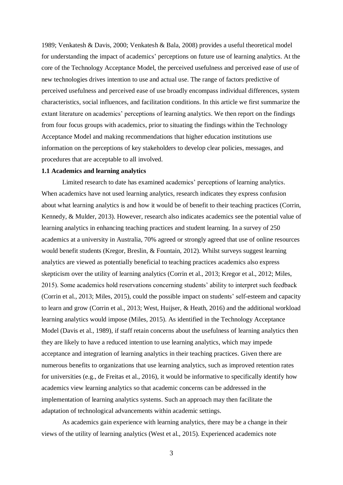1989; Venkatesh & Davis, 2000; Venkatesh & Bala, 2008) provides a useful theoretical model for understanding the impact of academics' perceptions on future use of learning analytics. At the core of the Technology Acceptance Model, the perceived usefulness and perceived ease of use of new technologies drives intention to use and actual use. The range of factors predictive of perceived usefulness and perceived ease of use broadly encompass individual differences, system characteristics, social influences, and facilitation conditions. In this article we first summarize the extant literature on academics' perceptions of learning analytics. We then report on the findings from four focus groups with academics, prior to situating the findings within the Technology Acceptance Model and making recommendations that higher education institutions use information on the perceptions of key stakeholders to develop clear policies, messages, and procedures that are acceptable to all involved.

### **1.1 Academics and learning analytics**

Limited research to date has examined academics' perceptions of learning analytics. When academics have not used learning analytics, research indicates they express confusion about what learning analytics is and how it would be of benefit to their teaching practices (Corrin, Kennedy, & Mulder, 2013). However, research also indicates academics see the potential value of learning analytics in enhancing teaching practices and student learning. In a survey of 250 academics at a university in Australia, 70% agreed or strongly agreed that use of online resources would benefit students (Kregor, Breslin, & Fountain, 2012). Whilst surveys suggest learning analytics are viewed as potentially beneficial to teaching practices academics also express skepticism over the utility of learning analytics (Corrin et al., 2013; Kregor et al., 2012; Miles, 2015). Some academics hold reservations concerning students' ability to interpret such feedback (Corrin et al., 2013; Miles, 2015), could the possible impact on students' self-esteem and capacity to learn and grow (Corrin et al., 2013; West, Huijser, & Heath, 2016) and the additional workload learning analytics would impose (Miles, 2015). As identified in the Technology Acceptance Model (Davis et al., 1989), if staff retain concerns about the usefulness of learning analytics then they are likely to have a reduced intention to use learning analytics, which may impede acceptance and integration of learning analytics in their teaching practices. Given there are numerous benefits to organizations that use learning analytics, such as improved retention rates for universities (e.g., de Freitas et al., 2016), it would be informative to specifically identify how academics view learning analytics so that academic concerns can be addressed in the implementation of learning analytics systems. Such an approach may then facilitate the adaptation of technological advancements within academic settings.

As academics gain experience with learning analytics, there may be a change in their views of the utility of learning analytics (West et al., 2015). Experienced academics note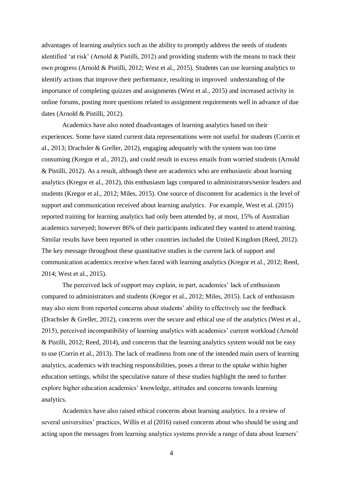advantages of learning analytics such as the ability to promptly address the needs of students identified 'at risk' (Arnold  $\&$  Pistilli, 2012) and providing students with the means to track their own progress (Arnold & Pistilli, 2012; West et al., 2015). Students can use learning analytics to identify actions that improve their performance, resulting in improved understanding of the importance of completing quizzes and assignments (West et al., 2015) and increased activity in online forums, posting more questions related to assignment requirements well in advance of due dates (Arnold & Pistilli, 2012).

Academics have also noted disadvantages of learning analytics based on their experiences. Some have stated current data representations were not useful for students (Corrin et al., 2013; Drachsler & Greller, 2012), engaging adequately with the system was too time consuming (Kregor et al., 2012), and could result in excess emails from worried students (Arnold & Pistilli, 2012). As a result, although there are academics who are enthusiastic about learning analytics (Kregor et al., 2012), this enthusiasm lags compared to administrators/senior leaders and students (Kregor et al., 2012; Miles, 2015). One source of discontent for academics is the level of support and communication received about learning analytics. For example, West et al. (2015) reported training for learning analytics had only been attended by, at most, 15% of Australian academics surveyed; however 86% of their participants indicated they wanted to attend training. Similar results have been reported in other countries included the United Kingdom (Reed, 2012). The key message throughout these quantitative studies is the current lack of support and communication academics receive when faced with learning analytics (Kregor et al., 2012; Reed, 2014; West et al., 2015).

The perceived lack of support may explain, in part, academics' lack of enthusiasm compared to administrators and students (Kregor et al., 2012; Miles, 2015). Lack of enthusiasm may also stem from reported concerns about students' ability to effectively use the feedback (Drachsler & Greller, 2012), concerns over the secure and ethical use of the analytics (West et al., 2015), perceived incompatibility of learning analytics with academics' current workload (Arnold & Pistilli, 2012; Reed, 2014), and concerns that the learning analytics system would not be easy to use (Corrin et al., 2013). The lack of readiness from one of the intended main users of learning analytics, academics with teaching responsibilities, poses a threat to the uptake within higher education settings, whilst the speculative nature of these studies highlight the need to further explore higher education academics' knowledge, attitudes and concerns towards learning analytics.

Academics have also raised ethical concerns about learning analytics. In a review of several universities' practices, Willis et al (2016) raised concerns about who should be using and acting upon the messages from learning analytics systems provide a range of data about learners'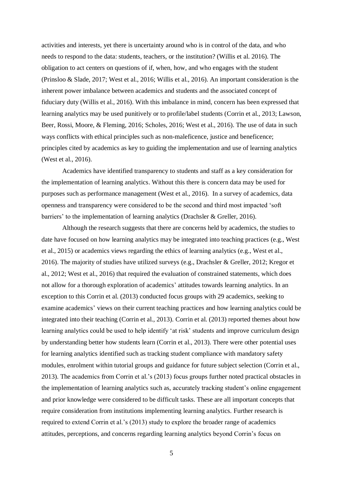activities and interests, yet there is uncertainty around who is in control of the data, and who needs to respond to the data: students, teachers, or the institution? (Willis et al. 2016). The obligation to act centers on questions of if, when, how, and who engages with the student (Prinsloo & Slade, 2017; West et al., 2016; Willis et al., 2016). An important consideration is the inherent power imbalance between academics and students and the associated concept of fiduciary duty (Willis et al., 2016). With this imbalance in mind, concern has been expressed that learning analytics may be used punitively or to profile/label students (Corrin et al., 2013; Lawson, Beer, Rossi, Moore, & Fleming, 2016; Scholes, 2016; West et al., 2016). The use of data in such ways conflicts with ethical principles such as non-maleficence, justice and beneficence; principles cited by academics as key to guiding the implementation and use of learning analytics (West et al., 2016).

Academics have identified transparency to students and staff as a key consideration for the implementation of learning analytics. Without this there is concern data may be used for purposes such as performance management (West et al., 2016). In a survey of academics, data openness and transparency were considered to be the second and third most impacted 'soft barriers' to the implementation of learning analytics (Drachsler & Greller, 2016).

Although the research suggests that there are concerns held by academics, the studies to date have focused on how learning analytics may be integrated into teaching practices (e.g., West et al., 2015) or academics views regarding the ethics of learning analytics (e.g., West et al., 2016). The majority of studies have utilized surveys (e.g., Drachsler & Greller, 2012; Kregor et al., 2012; West et al., 2016) that required the evaluation of constrained statements, which does not allow for a thorough exploration of academics' attitudes towards learning analytics. In an exception to this Corrin et al. (2013) conducted focus groups with 29 academics, seeking to examine academics' views on their current teaching practices and how learning analytics could be integrated into their teaching (Corrin et al., 2013). Corrin et al. (2013) reported themes about how learning analytics could be used to help identify 'at risk' students and improve curriculum design by understanding better how students learn (Corrin et al., 2013). There were other potential uses for learning analytics identified such as tracking student compliance with mandatory safety modules, enrolment within tutorial groups and guidance for future subject selection (Corrin et al., 2013). The academics from Corrin et al.'s (2013) focus groups further noted practical obstacles in the implementation of learning analytics such as, accurately tracking student's online engagement and prior knowledge were considered to be difficult tasks. These are all important concepts that require consideration from institutions implementing learning analytics. Further research is required to extend Corrin et al.'s (2013) study to explore the broader range of academics attitudes, perceptions, and concerns regarding learning analytics beyond Corrin's focus on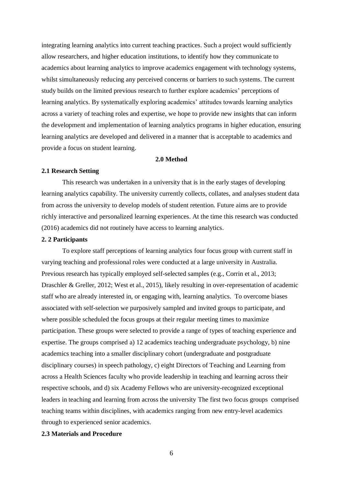integrating learning analytics into current teaching practices. Such a project would sufficiently allow researchers, and higher education institutions, to identify how they communicate to academics about learning analytics to improve academics engagement with technology systems, whilst simultaneously reducing any perceived concerns or barriers to such systems. The current study builds on the limited previous research to further explore academics' perceptions of learning analytics. By systematically exploring academics' attitudes towards learning analytics across a variety of teaching roles and expertise, we hope to provide new insights that can inform the development and implementation of learning analytics programs in higher education, ensuring learning analytics are developed and delivered in a manner that is acceptable to academics and provide a focus on student learning.

## **2.0 Method**

### **2.1 Research Setting**

This research was undertaken in a university that is in the early stages of developing learning analytics capability. The university currently collects, collates, and analyses student data from across the university to develop models of student retention. Future aims are to provide richly interactive and personalized learning experiences. At the time this research was conducted (2016) academics did not routinely have access to learning analytics.

### **2. 2 Participants**

To explore staff perceptions of learning analytics four focus group with current staff in varying teaching and professional roles were conducted at a large university in Australia. Previous research has typically employed self-selected samples (e.g., Corrin et al., 2013; Draschler & Greller, 2012; West et al., 2015), likely resulting in over-representation of academic staff who are already interested in, or engaging with, learning analytics. To overcome biases associated with self-selection we purposively sampled and invited groups to participate, and where possible scheduled the focus groups at their regular meeting times to maximize participation. These groups were selected to provide a range of types of teaching experience and expertise. The groups comprised a) 12 academics teaching undergraduate psychology, b) nine academics teaching into a smaller disciplinary cohort (undergraduate and postgraduate disciplinary courses) in speech pathology, c) eight Directors of Teaching and Learning from across a Health Sciences faculty who provide leadership in teaching and learning across their respective schools, and d) six Academy Fellows who are university-recognized exceptional leaders in teaching and learning from across the university The first two focus groups comprised teaching teams within disciplines, with academics ranging from new entry-level academics through to experienced senior academics.

## **2.3 Materials and Procedure**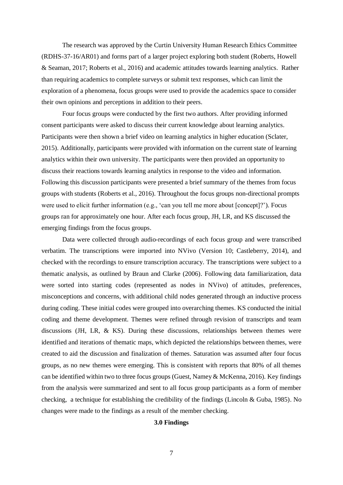The research was approved by the Curtin University Human Research Ethics Committee (RDHS-37-16/AR01) and forms part of a larger project exploring both student (Roberts, Howell & Seaman, 2017; Roberts et al., 2016) and academic attitudes towards learning analytics. Rather than requiring academics to complete surveys or submit text responses, which can limit the exploration of a phenomena, focus groups were used to provide the academics space to consider their own opinions and perceptions in addition to their peers.

Four focus groups were conducted by the first two authors. After providing informed consent participants were asked to discuss their current knowledge about learning analytics. Participants were then shown a brief video on learning analytics in higher education (Sclater, 2015). Additionally, participants were provided with information on the current state of learning analytics within their own university. The participants were then provided an opportunity to discuss their reactions towards learning analytics in response to the video and information. Following this discussion participants were presented a brief summary of the themes from focus groups with students (Roberts et al., 2016). Throughout the focus groups non-directional prompts were used to elicit further information (e.g., 'can you tell me more about [concept]?'). Focus groups ran for approximately one hour. After each focus group, JH, LR, and KS discussed the emerging findings from the focus groups.

Data were collected through audio-recordings of each focus group and were transcribed verbatim. The transcriptions were imported into NVivo (Version 10; Castleberry, 2014), and checked with the recordings to ensure transcription accuracy. The transcriptions were subject to a thematic analysis, as outlined by Braun and Clarke (2006). Following data familiarization, data were sorted into starting codes (represented as nodes in NVivo) of attitudes, preferences, misconceptions and concerns, with additional child nodes generated through an inductive process during coding. These initial codes were grouped into overarching themes. KS conducted the initial coding and theme development. Themes were refined through revision of transcripts and team discussions (JH, LR, & KS). During these discussions, relationships between themes were identified and iterations of thematic maps, which depicted the relationships between themes, were created to aid the discussion and finalization of themes. Saturation was assumed after four focus groups, as no new themes were emerging. This is consistent with reports that 80% of all themes can be identified within two to three focus groups (Guest, Namey & McKenna, 2016). Key findings from the analysis were summarized and sent to all focus group participants as a form of member checking, a technique for establishing the credibility of the findings (Lincoln & Guba, 1985). No changes were made to the findings as a result of the member checking.

# **3.0 Findings**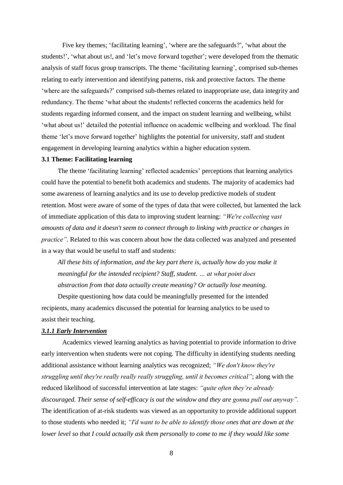Five key themes; 'facilitating learning', 'where are the safeguards?', 'what about the students!', 'what about us!, and 'let's move forward together'; were developed from the thematic analysis of staff focus group transcripts. The theme 'facilitating learning', comprised sub-themes relating to early intervention and identifying patterns, risk and protective factors*.* The theme 'where are the safeguards?' comprised sub-themes related to inappropriate use, data integrity and redundancy. The theme 'what about the students! reflected concerns the academics held for students regarding informed consent, and the impact on student learning and wellbeing, whilst 'what about us!' detailed the potential influence on academic wellbeing and workload. The final theme 'let's move forward together' highlights the potential for university, staff and student engagement in developing learning analytics within a higher education system.

### **3.1 Theme: Facilitating learning**

The theme 'facilitating learning' reflected academics' perceptions that learning analytics could have the potential to benefit both academics and students. The majority of academics had some awareness of learning analytics and its use to develop predictive models of student retention. Most were aware of some of the types of data that were collected, but lamented the lack of immediate application of this data to improving student learning: *"We're collecting vast amounts of data and it doesn't seem to connect through to linking with practice or changes in practice".* Related to this was concern about how the data collected was analyzed and presented in a way that would be useful to staff and students:

*All these bits of information, and the key part there is, actually how do you make it meaningful for the intended recipient? Staff, student. … at what point does abstraction from that data actually create meaning? Or actually lose meaning.*

Despite questioning how data could be meaningfully presented for the intended recipients, many academics discussed the potential for learning analytics to be used to assist their teaching.

## *3.1.1 Early Intervention*

Academics viewed learning analytics as having potential to provide information to drive early intervention when students were not coping. The difficulty in identifying students needing additional assistance without learning analytics was recognized; *"We don't know they're struggling until they're really really really struggling, until it becomes critical"*; along with the reduced likelihood of successful intervention at late stages: *"quite often they're already discouraged. Their sense of self-efficacy is out the window and they are gonna pull out anyway".* The identification of at-risk students was viewed as an opportunity to provide additional support to those students who needed it; *"I'd want to be able to identify those ones that are down at the lower level so that I could actually ask them personally to come to me if they would like some*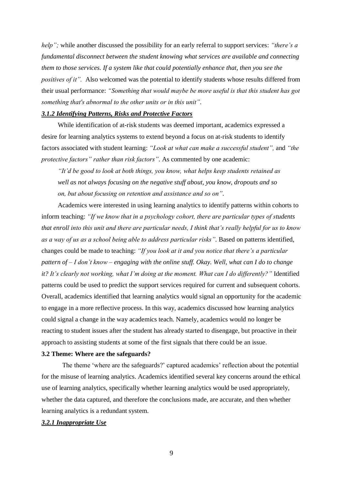*help";* while another discussed the possibility for an early referral to support services: *"there's a fundamental disconnect between the student knowing what services are available and connecting them to those services. If a system like that could potentially enhance that, then you see the positives of it".* Also welcomed was the potential to identify students whose results differed from their usual performance: *"Something that would maybe be more useful is that this student has got something that's abnormal to the other units or in this unit".*

## *3.1.2 Identifying Patterns, Risks and Protective Factors*

While identification of at-risk students was deemed important, academics expressed a desire for learning analytics systems to extend beyond a focus on at-risk students to identify factors associated with student learning: *"Look at what can make a successful student",* and *"the protective factors" rather than risk factors".* As commented by one academic:

*"It'd be good to look at both things, you know, what helps keep students retained as well as not always focusing on the negative stuff about, you know, dropouts and so on, but about focusing on retention and assistance and so on".*

Academics were interested in using learning analytics to identify patterns within cohorts to inform teaching: *"If we know that in a psychology cohort, there are particular types of students that enroll into this unit and there are particular needs, I think that's really helpful for us to know as a way of us as a school being able to address particular risks".* Based on patterns identified, changes could be made to teaching: *"If you look at it and you notice that there's a particular pattern of – I don't know – engaging with the online stuff. Okay. Well, what can I do to change it? It's clearly not working, what I'm doing at the moment. What can I do differently?"* Identified patterns could be used to predict the support services required for current and subsequent cohorts. Overall, academics identified that learning analytics would signal an opportunity for the academic to engage in a more reflective process. In this way, academics discussed how learning analytics could signal a change in the way academics teach. Namely, academics would no longer be reacting to student issues after the student has already started to disengage, but proactive in their approach to assisting students at some of the first signals that there could be an issue.

## **3.2 Theme: Where are the safeguards?**

The theme 'where are the safeguards?' captured academics' reflection about the potential for the misuse of learning analytics. Academics identified several key concerns around the ethical use of learning analytics, specifically whether learning analytics would be used appropriately, whether the data captured, and therefore the conclusions made, are accurate, and then whether learning analytics is a redundant system.

# *3.2.1 Inappropriate Use*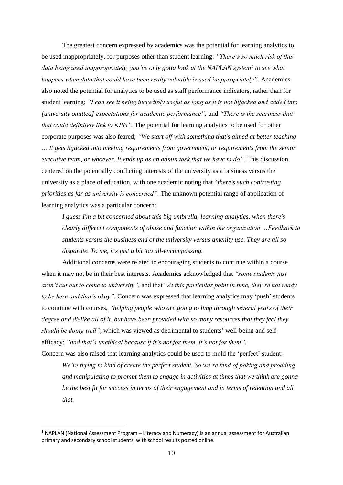The greatest concern expressed by academics was the potential for learning analytics to be used inappropriately, for purposes other than student learning: *"There's so much risk of this data being used inappropriately, you've only gotta look at the NAPLAN system<sup>1</sup> to see what happens when data that could have been really valuable is used inappropriately".* Academics also noted the potential for analytics to be used as staff performance indicators, rather than for student learning; *"I can see it being incredibly useful as long as it is not hijacked and added into [university omitted] expectations for academic performance";* and *"There is the scariness that that could definitely link to KPIs".* The potential for learning analytics to be used for other corporate purposes was also feared; *"We start off with something that's aimed at better teaching … It gets hijacked into meeting requirements from government, or requirements from the senior executive team, or whoever. It ends up as an admin task that we have to do".* This discussion centered on the potentially conflicting interests of the university as a business versus the university as a place of education, with one academic noting that "*there's such contrasting priorities as far as university is concerned".* The unknown potential range of application of learning analytics was a particular concern:

*I guess I'm a bit concerned about this big umbrella, learning analytics, when there's clearly different components of abuse and function within the organization …Feedback to students versus the business end of the university versus amenity use. They are all so disparate. To me, it's just a bit too all-encompassing.*

Additional concerns were related to encouraging students to continue within a course when it may not be in their best interests. Academics acknowledged that *"some students just aren't cut out to come to university"*, and that "*At this particular point in time, they're not ready to be here and that's okay".* Concern was expressed that learning analytics may 'push' students to continue with courses, *"helping people who are going to limp through several years of their degree and dislike all of it, but have been provided with so many resources that they feel they should be doing well",* which was viewed as detrimental to students' well-being and selfefficacy: *"and that's unethical because if it's not for them, it's not for them".*  Concern was also raised that learning analytics could be used to mold the 'perfect' student:

*We're trying to kind of create the perfect student. So we're kind of poking and prodding and manipulating to prompt them to engage in activities at times that we think are gonna be the best fit for success in terms of their engagement and in terms of retention and all* 

*that.*

 $1$  NAPLAN (National Assessment Program – Literacy and Numeracy) is an annual assessment for Australian primary and secondary school students, with school results posted online.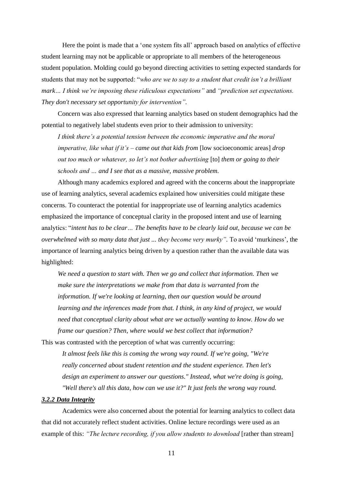Here the point is made that a 'one system fits all' approach based on analytics of effective student learning may not be applicable or appropriate to all members of the heterogeneous student population. Molding could go beyond directing activities to setting expected standards for students that may not be supported: "*who are we to say to a student that credit isn't a brilliant mark… I think we're imposing these ridiculous expectations"* and *"prediction set expectations. They don't necessary set opportunity for intervention".*

Concern was also expressed that learning analytics based on student demographics had the potential to negatively label students even prior to their admission to university:

*I think there's a potential tension between the economic imperative and the moral imperative, like what if it's – came out that kids from* [low socioeconomic areas] *drop out too much or whatever, so let's not bother advertising* [to] *them or going to their schools and … and I see that as a massive, massive problem.*

Although many academics explored and agreed with the concerns about the inappropriate use of learning analytics, several academics explained how universities could mitigate these concerns. To counteract the potential for inappropriate use of learning analytics academics emphasized the importance of conceptual clarity in the proposed intent and use of learning analytics: "*intent has to be clear… The benefits have to be clearly laid out, because we can be overwhelmed with so many data that just ... they become very murky".* To avoid 'murkiness', the importance of learning analytics being driven by a question rather than the available data was highlighted:

*We need a question to start with. Then we go and collect that information. Then we make sure the interpretations we make from that data is warranted from the information. If we're looking at learning, then our question would be around learning and the inferences made from that. I think, in any kind of project, we would need that conceptual clarity about what are we actually wanting to know. How do we frame our question? Then, where would we best collect that information?*

This was contrasted with the perception of what was currently occurring:

*It almost feels like this is coming the wrong way round. If we're going, "We're really concerned about student retention and the student experience. Then let's design an experiment to answer our questions." Instead, what we're doing is going, "Well there's all this data, how can we use it?" It just feels the wrong way round.*

# *3.2.2 Data Integrity*

Academics were also concerned about the potential for learning analytics to collect data that did not accurately reflect student activities. Online lecture recordings were used as an example of this: *"The lecture recording, if you allow students to download* [rather than stream]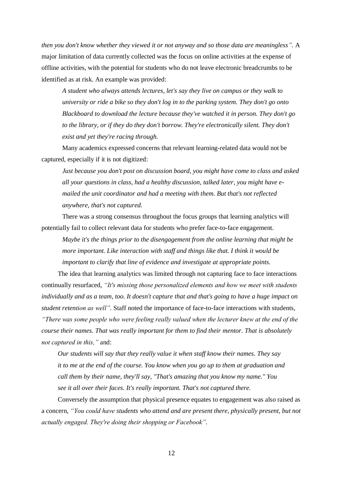*then you don't know whether they viewed it or not anyway and so those data are meaningless".* A major limitation of data currently collected was the focus on online activities at the expense of offline activities, with the potential for students who do not leave electronic breadcrumbs to be identified as at risk. An example was provided:

*A student who always attends lectures, let's say they live on campus or they walk to university or ride a bike so they don't log in to the parking system. They don't go onto Blackboard to download the lecture because they've watched it in person. They don't go to the library, or if they do they don't borrow. They're electronically silent. They don't exist and yet they're racing through.*

Many academics expressed concerns that relevant learning-related data would not be captured, especially if it is not digitized:

*Just because you don't post on discussion board, you might have come to class and asked all your questions in class, had a healthy discussion, talked later, you might have emailed the unit coordinator and had a meeting with them. But that's not reflected anywhere, that's not captured.*

There was a strong consensus throughout the focus groups that learning analytics will potentially fail to collect relevant data for students who prefer face-to-face engagement.

*Maybe it's the things prior to the disengagement from the online learning that might be more important. Like interaction with staff and things like that. I think it would be important to clarify that line of evidence and investigate at appropriate points.*

The idea that learning analytics was limited through not capturing face to face interactions continually resurfaced, *"It's missing those personalized elements and how we meet with students individually and as a team, too. It doesn't capture that and that's going to have a huge impact on student retention as well".* Staff noted the importance of face-to-face interactions with students*, "There was some people who were feeling really valued when the lecturer knew at the end of the* 

*course their names. That was really important for them to find their mentor. That is absolutely not captured in this,"* and:

*Our students will say that they really value it when staff know their names. They say it to me at the end of the course. You know when you go up to them at graduation and call them by their name, they'll say, "That's amazing that you know my name." You see it all over their faces. It's really important. That's not captured there.*

Conversely the assumption that physical presence equates to engagement was also raised as a concern, *"You could have students who attend and are present there, physically present, but not actually engaged. They're doing their shopping or Facebook".*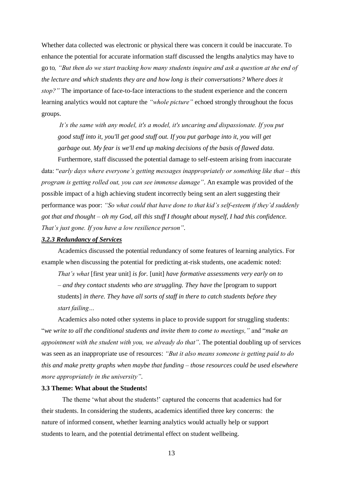Whether data collected was electronic or physical there was concern it could be inaccurate. To enhance the potential for accurate information staff discussed the lengths analytics may have to go to*, "But then do we start tracking how many students inquire and ask a question at the end of the lecture and which students they are and how long is their conversations? Where does it stop?"* The importance of face-to-face interactions to the student experience and the concern learning analytics would not capture the *"whole picture"* echoed strongly throughout the focus groups.

*It's the same with any model, it's a model, it's uncaring and dispassionate. If you put good stuff into it, you'll get good stuff out. If you put garbage into it, you will get garbage out. My fear is we'll end up making decisions of the basis of flawed data.*

Furthermore, staff discussed the potential damage to self-esteem arising from inaccurate data: "*early days where everyone's getting messages inappropriately or something like that – this program is getting rolled out, you can see immense damage"*. An example was provided of the possible impact of a high achieving student incorrectly being sent an alert suggesting their performance was poor: *"So what could that have done to that kid's self-esteem if they'd suddenly got that and thought – oh my God, all this stuff I thought about myself, I had this confidence. That's just gone. If you have a low resilience person".*

## *3.2.3 Redundancy of Services*

Academics discussed the potential redundancy of some features of learning analytics. For example when discussing the potential for predicting at-risk students, one academic noted:

*That's what* [first year unit] *is for.* [unit] *have formative assessments very early on to – and they contact students who are struggling. They have the* [program to support students] *in there. They have all sorts of staff in there to catch students before they start failing…*

Academics also noted other systems in place to provide support for struggling students: "*we write to all the conditional students and invite them to come to meetings,"* and "*make an appointment with the student with you, we already do that".* The potential doubling up of services was seen as an inappropriate use of resources: *"But it also means someone is getting paid to do this and make pretty graphs when maybe that funding – those resources could be used elsewhere more appropriately in the university".*

## **3.3 Theme: What about the Students!**

The theme 'what about the students!' captured the concerns that academics had for their students. In considering the students, academics identified three key concerns: the nature of informed consent, whether learning analytics would actually help or support students to learn, and the potential detrimental effect on student wellbeing.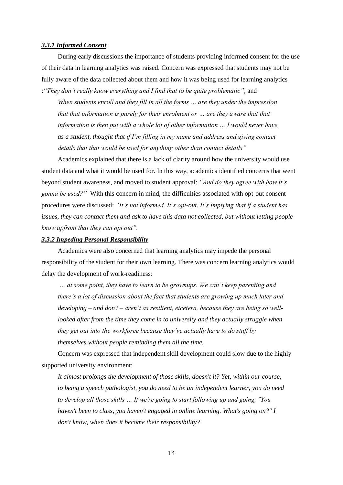### *3.3.1 Informed Consent*

During early discussions the importance of students providing informed consent for the use of their data in learning analytics was raised. Concern was expressed that students may not be fully aware of the data collected about them and how it was being used for learning analytics :*"They don't really know everything and I find that to be quite problematic",* and

*When students enroll and they fill in all the forms … are they under the impression that that information is purely for their enrolment or … are they aware that that information is then put with a whole lot of other information … I would never have, as a student, thought that if I'm filling in my name and address and giving contact details that that would be used for anything other than contact details"*

Academics explained that there is a lack of clarity around how the university would use student data and what it would be used for. In this way, academics identified concerns that went beyond student awareness, and moved to student approval: *"And do they agree with how it's gonna be used?"* With this concern in mind, the difficulties associated with opt-out consent procedures were discussed: *"It's not informed. It's opt-out. It's implying that if a student has issues, they can contact them and ask to have this data not collected, but without letting people know upfront that they can opt out".*

# *3.3.2 Impeding Personal Responsibility*

Academics were also concerned that learning analytics may impede the personal responsibility of the student for their own learning. There was concern learning analytics would delay the development of work-readiness:

*… at some point, they have to learn to be grownups. We can't keep parenting and there's a lot of discussion about the fact that students are growing up much later and developing – and don't – aren't as resilient, etcetera, because they are being so welllooked after from the time they come in to university and they actually struggle when they get out into the workforce because they've actually have to do stuff by themselves without people reminding them all the time.*

Concern was expressed that independent skill development could slow due to the highly supported university environment:

*It almost prolongs the development of those skills, doesn't it? Yet, within our course, to being a speech pathologist, you do need to be an independent learner, you do need to develop all those skills … If we're going to start following up and going, "You haven't been to class, you haven't engaged in online learning. What's going on?" I don't know, when does it become their responsibility?*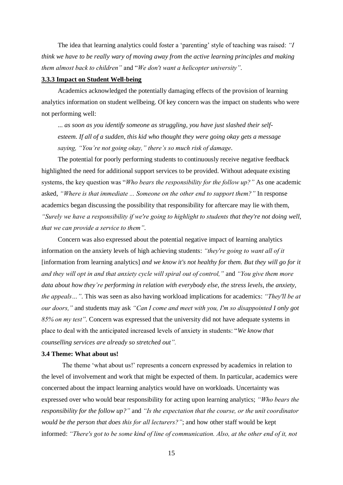The idea that learning analytics could foster a 'parenting' style of teaching was raised: *"I think we have to be really wary of moving away from the active learning principles and making them almost back to children"* and "*We don't want a helicopter university".*

# **3.3.3 Impact on Student Well-being**

Academics acknowledged the potentially damaging effects of the provision of learning analytics information on student wellbeing. Of key concern was the impact on students who were not performing well:

... *as soon as you identify someone as struggling, you have just slashed their selfesteem. If all of a sudden, this kid who thought they were going okay gets a message saying, "You're not going okay," there's so much risk of damage.*

The potential for poorly performing students to continuously receive negative feedback highlighted the need for additional support services to be provided. Without adequate existing systems, the key question was "*Who bears the responsibility for the follow up?"* As one academic asked, *"Where is that immediate ... Someone on the other end to support them?"* In response academics began discussing the possibility that responsibility for aftercare may lie with them, *"Surely we have a responsibility if we're going to highlight to students that they're not doing well, that we can provide a service to them".*

Concern was also expressed about the potential negative impact of learning analytics information on the anxiety levels of high achieving students: *"they're going to want all of it* [information from learning analytics] *and we know it's not healthy for them. But they will go for it and they will opt in and that anxiety cycle will spiral out of control,"* and *"You give them more data about how they're performing in relation with everybody else, the stress levels, the anxiety, the appeals…"*. This was seen as also having workload implications for academics: *"They'll be at our doors,"* and students may ask *"Can I come and meet with you, I'm so disappointed I only got 85% on my test".* Concern was expressed that the university did not have adequate systems in place to deal with the anticipated increased levels of anxiety in students: "*We know that counselling services are already so stretched out".*

## **3.4 Theme: What about us!**

The theme 'what about us!' represents a concern expressed by academics in relation to the level of involvement and work that might be expected of them. In particular, academics were concerned about the impact learning analytics would have on workloads. Uncertainty was expressed over who would bear responsibility for acting upon learning analytics; *"Who bears the responsibility for the follow up?"* and *"Is the expectation that the course, or the unit coordinator would be the person that does this for all lecturers?"*; and how other staff would be kept informed: *"There's got to be some kind of line of communication. Also, at the other end of it, not*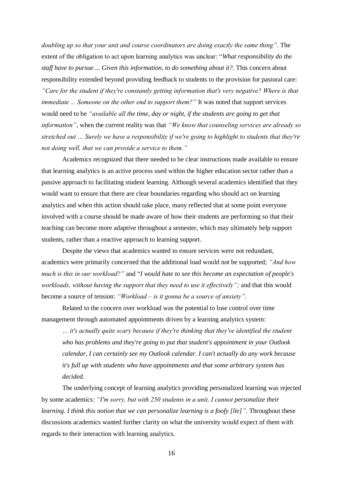*doubling up so that your unit and course coordinators are doing exactly the same thing".* The extent of the obligation to act upon learning analytics was unclear: "*What responsibility do the staff have to pursue ... Given this information, to do something about it?*. This concern about responsibility extended beyond providing feedback to students to the provision for pastoral care: *"Care for the student if they're constantly getting information that's very negative? Where is that immediate ... Someone on the other end to support them?"* It was noted that support services would need to be *"available all the time, day or night, if the students are going to get that information"*, when the current reality was that *"We know that counseling services are already so stretched out … Surely we have a responsibility if we're going to highlight to students that they're not doing well, that we can provide a service to them."*

Academics recognized that there needed to be clear instructions made available to ensure that learning analytics is an active process used within the higher education sector rather than a passive approach to facilitating student learning. Although several academics identified that they would want to ensure that there are clear boundaries regarding who should act on learning analytics and when this action should take place, many reflected that at some point everyone involved with a course should be made aware of how their students are performing so that their teaching can become more adaptive throughout a semester, which may ultimately help support students, rather than a reactive approach to learning support.

Despite the views that academics wanted to ensure services were not redundant, academics were primarily concerned that the additional load would not be supported; *"And how much is this in our workload?"* and "*I would hate to see this become an expectation of people's workloads, without having the support that they need to use it effectively";* and that this would become a source of tension: *"Workload – is it gonna be a source of anxiety".*

Related to the concern over workload was the potential to lose control over time management through automated appointments driven by a learning analytics system:

*… it's actually quite scary because if they're thinking that they've identified the student who has problems and they're going to put that student's appointment in your Outlook calendar, I can certainly see my Outlook calendar. I can't actually do any work because it's full up with students who have appointments and that some arbitrary system has decided.*

The underlying concept of learning analytics providing personalized learning was rejected by some academics: *"I'm sorry, but with 250 students in a unit, I cannot personalize their learning. I think this notion that we can personalize learning is a foofy [lie]".* Throughout these discussions academics wanted further clarity on what the university would expect of them with regards to their interaction with learning analytics.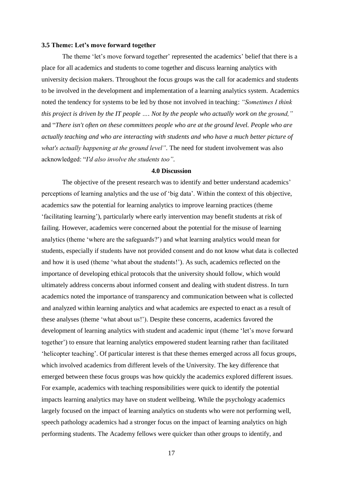### **3.5 Theme: Let's move forward together**

The theme 'let's move forward together' represented the academics' belief that there is a place for all academics and students to come together and discuss learning analytics with university decision makers. Throughout the focus groups was the call for academics and students to be involved in the development and implementation of a learning analytics system. Academics noted the tendency for systems to be led by those not involved in teaching: *"Sometimes I think this project is driven by the IT people …. Not by the people who actually work on the ground,"*  and "*There isn't often on these committees people who are at the ground level. People who are actually teaching and who are interacting with students and who have a much better picture of what's actually happening at the ground level".* The need for student involvement was also acknowledged: "*I'd also involve the students too".* 

### **4.0 Discussion**

The objective of the present research was to identify and better understand academics' perceptions of learning analytics and the use of 'big data'. Within the context of this objective, academics saw the potential for learning analytics to improve learning practices (theme 'facilitating learning'), particularly where early intervention may benefit students at risk of failing. However, academics were concerned about the potential for the misuse of learning analytics (theme 'where are the safeguards?') and what learning analytics would mean for students, especially if students have not provided consent and do not know what data is collected and how it is used (theme 'what about the students!'). As such, academics reflected on the importance of developing ethical protocols that the university should follow, which would ultimately address concerns about informed consent and dealing with student distress. In turn academics noted the importance of transparency and communication between what is collected and analyzed within learning analytics and what academics are expected to enact as a result of these analyses (theme 'what about us!'). Despite these concerns, academics favored the development of learning analytics with student and academic input (theme 'let's move forward together') to ensure that learning analytics empowered student learning rather than facilitated 'helicopter teaching'. Of particular interest is that these themes emerged across all focus groups, which involved academics from different levels of the University. The key difference that emerged between these focus groups was how quickly the academics explored different issues. For example, academics with teaching responsibilities were quick to identify the potential impacts learning analytics may have on student wellbeing. While the psychology academics largely focused on the impact of learning analytics on students who were not performing well, speech pathology academics had a stronger focus on the impact of learning analytics on high performing students. The Academy fellows were quicker than other groups to identify, and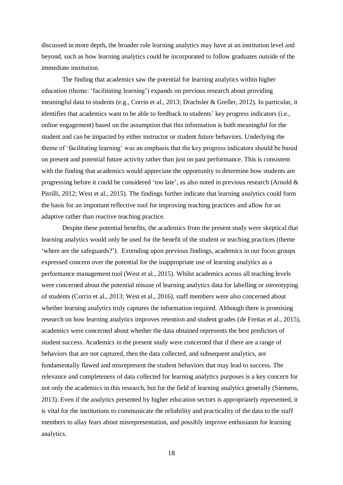discussed in more depth, the broader role learning analytics may have at an institution level and beyond, such as how learning analytics could be incorporated to follow graduates outside of the immediate institution.

The finding that academics saw the potential for learning analytics within higher education (theme: 'facilitating learning') expands on previous research about providing meaningful data to students (e.g., Corrin et al., 2013; Drachsler & Greller, 2012). In particular, it identifies that academics want to be able to feedback to students' key progress indicators (i.e., online engagement) based on the assumption that this information is both meaningful for the student and can be impacted by either instructor or student future behaviors. Underlying the theme of 'facilitating learning' was an emphasis that the key progress indicators should be based on present and potential future activity rather than just on past performance. This is consistent with the finding that academics would appreciate the opportunity to determine how students are progressing before it could be considered 'too late', as also noted in previous research (Arnold & Pistilli, 2012; West et al., 2015). The findings further indicate that learning analytics could form the basis for an important reflective tool for improving teaching practices and allow for an adaptive rather than reactive teaching practice.

Despite these potential benefits, the academics from the present study were skeptical that learning analytics would only be used for the benefit of the student or teaching practices (theme 'where are the safeguards?'). Extending upon previous findings, academics in our focus groups expressed concern over the potential for the inappropriate use of learning analytics as a performance management tool (West et al., 2015). Whilst academics across all teaching levels were concerned about the potential misuse of learning analytics data for labelling or stereotyping of students (Corrin et al., 2013; West et al., 2016), staff members were also concerned about whether learning analytics truly captures the information required. Although there is promising research on how learning analytics improves retention and student grades (de Freitas et al., 2015), academics were concerned about whether the data obtained represents the best predictors of student success. Academics in the present study were concerned that if there are a range of behaviors that are not captured, then the data collected, and subsequent analytics, are fundamentally flawed and misrepresent the student behaviors that may lead to success. The relevance and completeness of data collected for learning analytics purposes is a key concern for not only the academics in this research, but for the field of learning analytics generally (Siemens, 2013). Even if the analytics presented by higher education sectors is appropriately represented, it is vital for the institutions to communicate the reliability and practicality of the data to the staff members to allay fears about misrepresentation, and possibly improve enthusiasm for learning analytics.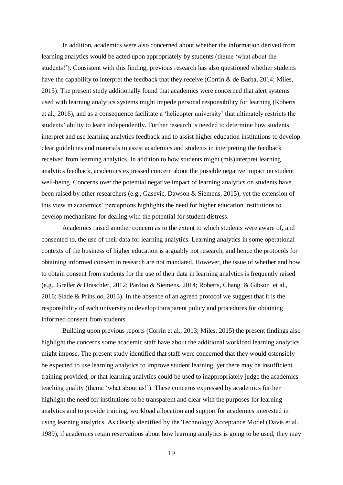In addition, academics were also concerned about whether the information derived from learning analytics would be acted upon appropriately by students (theme 'what about the students!'). Consistent with this finding, previous research has also questioned whether students have the capability to interpret the feedback that they receive (Corrin & de Barba, 2014; Miles, 2015). The present study additionally found that academics were concerned that alert systems used with learning analytics systems might impede personal responsibility for learning (Roberts et al., 2016), and as a consequence facilitate a 'helicopter university' that ultimately restricts the students' ability to learn independently. Further research is needed to determine how students interpret and use learning analytics feedback and to assist higher education institutions to develop clear guidelines and materials to assist academics and students in interpreting the feedback received from learning analytics. In addition to how students might (mis)interpret learning analytics feedback, academics expressed concern about the possible negative impact on student well-being. Concerns over the potential negative impact of learning analytics on students have been raised by other researchers (e.g., Gasevic, Dawson & Siemens, 2015), yet the extension of this view in academics' perceptions highlights the need for higher education institutions to develop mechanisms for dealing with the potential for student distress.

Academics raised another concern as to the extent to which students were aware of, and consented to, the use of their data for learning analytics. Learning analytics in some operational contexts of the business of higher education is arguably not research, and hence the protocols for obtaining informed consent in research are not mandated. However, the issue of whether and how to obtain consent from students for the use of their data in learning analytics is frequently raised (e.g., Greller & Draschler, 2012; Pardoo & Siemens, 2014; Roberts, Chang & Gibson et al., 2016; Slade & Prinsloo, 2013). In the absence of an agreed protocol we suggest that it is the responsibility of each university to develop transparent policy and procedures for obtaining informed consent from students.

Building upon previous reports (Corrin et al., 2013; Miles, 2015) the present findings also highlight the concerns some academic staff have about the additional workload learning analytics might impose. The present study identified that staff were concerned that they would ostensibly be expected to use learning analytics to improve student learning, yet there may be insufficient training provided, or that learning analytics could be used to inappropriately judge the academics teaching quality (theme 'what about us!'). These concerns expressed by academics further highlight the need for institutions to be transparent and clear with the purposes for learning analytics and to provide training, workload allocation and support for academics interested in using learning analytics. As clearly identified by the Technology Acceptance Model (Davis et al., 1989), if academics retain reservations about how learning analytics is going to be used, they may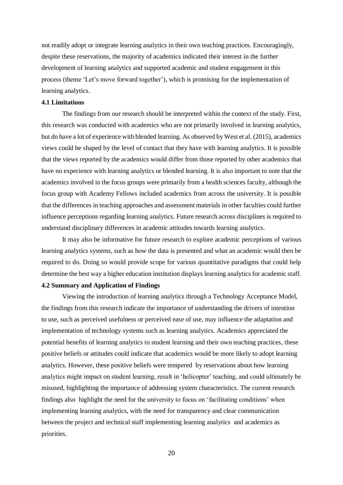not readily adopt or integrate learning analytics in their own teaching practices. Encouragingly, despite these reservations, the majority of academics indicated their interest in the further development of learning analytics and supported academic and student engagement in this process (theme 'Let's move forward together'), which is promising for the implementation of learning analytics.

## **4.1 Limitations**

The findings from our research should be interpreted within the context of the study. First, this research was conducted with academics who are not primarily involved in learning analytics, but do have a lot of experience with blended learning. As observed by West et al. (2015), academics views could be shaped by the level of contact that they have with learning analytics. It is possible that the views reported by the academics would differ from those reported by other academics that have no experience with learning analytics or blended learning. It is also important to note that the academics involved in the focus groups were primarily from a health sciences faculty, although the focus group with Academy Fellows included academics from across the university. It is possible that the differences in teaching approaches and assessment materials in other faculties could further influence perceptions regarding learning analytics. Future research across disciplines is required to understand disciplinary differences in academic attitudes towards learning analytics.

It may also be informative for future research to explore academic perceptions of various learning analytics systems, such as how the data is presented and what an academic would then be required to do. Doing so would provide scope for various quantitative paradigms that could help determine the best way a higher education institution displays learning analytics for academic staff.

# **4.2 Summary and Application of Findings**

Viewing the introduction of learning analytics through a Technology Acceptance Model, the findings from this research indicate the importance of understanding the drivers of intention to use, such as perceived usefulness or perceived ease of use, may influence the adaptation and implementation of technology systems such as learning analytics. Academics appreciated the potential benefits of learning analytics to student learning and their own teaching practices, these positive beliefs or attitudes could indicate that academics would be more likely to adopt learning analytics. However, these positive beliefs were tempered by reservations about how learning analytics might impact on student learning, result in 'helicopter' teaching, and could ultimately be misused, highlighting the importance of addressing system characteristics. The current research findings also highlight the need for the university to focus on 'facilitating conditions' when implementing learning analytics, with the need for transparency and clear communication between the project and technical staff implementing learning analytics and academics as priorities.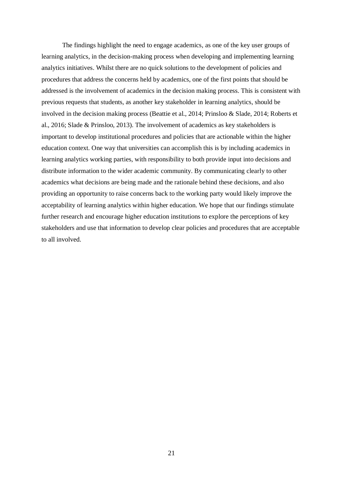The findings highlight the need to engage academics, as one of the key user groups of learning analytics, in the decision-making process when developing and implementing learning analytics initiatives. Whilst there are no quick solutions to the development of policies and procedures that address the concerns held by academics, one of the first points that should be addressed is the involvement of academics in the decision making process. This is consistent with previous requests that students, as another key stakeholder in learning analytics, should be involved in the decision making process (Beattie et al., 2014; Prinsloo & Slade, 2014; Roberts et al., 2016; Slade & Prinsloo, 2013). The involvement of academics as key stakeholders is important to develop institutional procedures and policies that are actionable within the higher education context. One way that universities can accomplish this is by including academics in learning analytics working parties, with responsibility to both provide input into decisions and distribute information to the wider academic community. By communicating clearly to other academics what decisions are being made and the rationale behind these decisions, and also providing an opportunity to raise concerns back to the working party would likely improve the acceptability of learning analytics within higher education. We hope that our findings stimulate further research and encourage higher education institutions to explore the perceptions of key stakeholders and use that information to develop clear policies and procedures that are acceptable to all involved.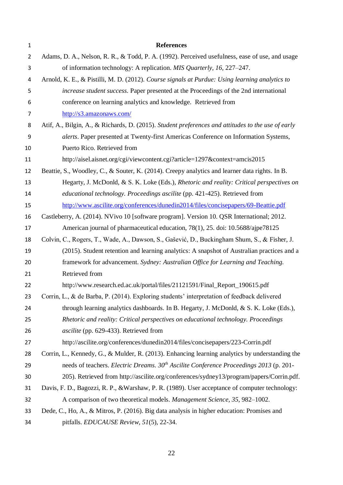| $\mathbf 1$    | <b>References</b>                                                                                  |
|----------------|----------------------------------------------------------------------------------------------------|
| $\overline{2}$ | Adams, D. A., Nelson, R. R., & Todd, P. A. (1992). Perceived usefulness, ease of use, and usage    |
| 3              | of information technology: A replication. MIS Quarterly, 16, 227–247.                              |
| 4              | Arnold, K. E., & Pistilli, M. D. (2012). Course signals at Purdue: Using learning analytics to     |
| 5              | increase student success. Paper presented at the Proceedings of the 2nd international              |
| 6              | conference on learning analytics and knowledge. Retrieved from                                     |
| $\overline{7}$ | http://s3.amazonaws.com/                                                                           |
| 8              | Atif, A., Bilgin, A., & Richards, D. (2015). Student preferences and attitudes to the use of early |
| 9              | alerts. Paper presented at Twenty-first Americas Conference on Information Systems,                |
| 10             | Puerto Rico. Retrieved from                                                                        |
| 11             | http://aisel.aisnet.org/cgi/viewcontent.cgi?article=1297&context=amcis2015                         |
| 12             | Beattie, S., Woodley, C., & Souter, K. (2014). Creepy analytics and learner data rights. In B.     |
| 13             | Hegarty, J. McDonld, & S. K. Loke (Eds.), Rhetoric and reality: Critical perspectives on           |
| 14             | educational technology. Proceedings ascilite (pp. 421-425). Retrieved from                         |
| 15             | http://www.ascilite.org/conferences/dunedin2014/files/concisepapers/69-Beattie.pdf                 |
| 16             | Castleberry, A. (2014). NVivo 10 [software program]. Version 10. QSR International; 2012.          |
| 17             | American journal of pharmaceutical education, 78(1), 25. doi: 10.5688/ajpe78125                    |
| 18             | Colvin, C., Rogers, T., Wade, A., Dawson, S., Gašević, D., Buckingham Shum, S., & Fisher, J.       |
| 19             | (2015). Student retention and learning analytics: A snapshot of Australian practices and a         |
| 20             | framework for advancement. Sydney: Australian Office for Learning and Teaching.                    |
| 21             | Retrieved from                                                                                     |
| 22             | http://www.research.ed.ac.uk/portal/files/21121591/Final_Report_190615.pdf                         |
| 23             | Corrin, L., & de Barba, P. (2014). Exploring students' interpretation of feedback delivered        |
| 24             | through learning analytics dashboards. In B. Hegarty, J. McDonld, & S. K. Loke (Eds.),             |
| 25             | Rhetoric and reality: Critical perspectives on educational technology. Proceedings                 |
| 26             | ascilite (pp. 629-433). Retrieved from                                                             |
| 27             | http://ascilite.org/conferences/dunedin2014/files/concisepapers/223-Corrin.pdf                     |
| 28             | Corrin, L., Kennedy, G., & Mulder, R. (2013). Enhancing learning analytics by understanding the    |
| 29             | needs of teachers. Electric Dreams. 30 <sup>th</sup> Ascilite Conference Proceedings 2013 (p. 201- |
| 30             | 205). Retrieved from http://ascilite.org/conferences/sydney13/program/papers/Corrin.pdf.           |
| 31             | Davis, F. D., Bagozzi, R. P., & Warshaw, P. R. (1989). User acceptance of computer technology:     |
| 32             | A comparison of two theoretical models. Management Science, 35, 982–1002.                          |
| 33             | Dede, C., Ho, A., & Mitros, P. (2016). Big data analysis in higher education: Promises and         |
| 34             | pitfalls. EDUCAUSE Review, 51(5), 22-34.                                                           |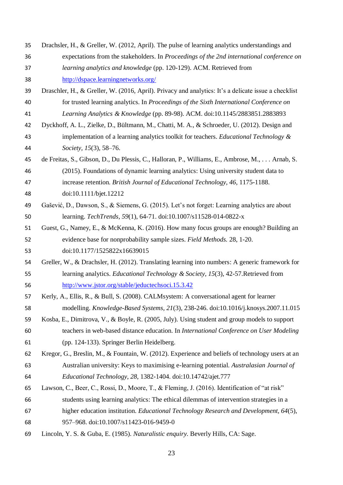| 35 | Drachsler, H., & Greller, W. (2012, April). The pulse of learning analytics understandings and       |
|----|------------------------------------------------------------------------------------------------------|
| 36 | expectations from the stakeholders. In Proceedings of the 2nd international conference on            |
| 37 | learning analytics and knowledge (pp. 120-129). ACM. Retrieved from                                  |
| 38 | http://dspace.learningnetworks.org/                                                                  |
| 39 | Draschler, H., & Greller, W. (2016, April). Privacy and analytics: It's a delicate issue a checklist |
| 40 | for trusted learning analytics. In Proceedings of the Sixth International Conference on              |
| 41 | Learning Analytics & Knowledge (pp. 89-98). ACM. doi:10.1145/2883851.2883893                         |
| 42 | Dyckhoff, A. L., Zielke, D., Bültmann, M., Chatti, M. A., & Schroeder, U. (2012). Design and         |
| 43 | implementation of a learning analytics toolkit for teachers. Educational Technology $\&$             |
| 44 | Society, 15(3), 58-76.                                                                               |
| 45 | de Freitas, S., Gibson, D., Du Plessis, C., Halloran, P., Williams, E., Ambrose, M.,  Arnab, S.      |
| 46 | (2015). Foundations of dynamic learning analytics: Using university student data to                  |
| 47 | increase retention. British Journal of Educational Technology, 46, 1175-1188.                        |
| 48 | doi:10.1111/bjet.12212                                                                               |
| 49 | Gašević, D., Dawson, S., & Siemens, G. (2015). Let's not forget: Learning analytics are about        |
| 50 | learning. TechTrends, 59(1), 64-71. doi:10.1007/s11528-014-0822-x                                    |
| 51 | Guest, G., Namey, E., & McKenna, K. (2016). How many focus groups are enough? Building an            |
| 52 | evidence base for nonprobability sample sizes. Field Methods. 28, 1-20.                              |
| 53 | doi:10.1177/1525822x16639015                                                                         |
| 54 | Greller, W., & Drachsler, H. (2012). Translating learning into numbers: A generic framework for      |
| 55 | learning analytics. Educational Technology & Society, 15(3), 42-57. Retrieved from                   |
| 56 | http://www.jstor.org/stable/jeductechsoci.15.3.42                                                    |
| 57 | Kerly, A., Ellis, R., & Bull, S. (2008). CALMsystem: A conversational agent for learner              |
| 58 | modelling. Knowledge-Based Systems, 21(3), 238-246. doi:10.1016/j.knosys.2007.11.015                 |
| 59 | Kosba, E., Dimitrova, V., & Boyle, R. (2005, July). Using student and group models to support        |
| 60 | teachers in web-based distance education. In <i>International Conference on User Modeling</i>        |
| 61 | (pp. 124-133). Springer Berlin Heidelberg.                                                           |
| 62 | Kregor, G., Breslin, M., & Fountain, W. (2012). Experience and beliefs of technology users at an     |
| 63 | Australian university: Keys to maximising e-learning potential. Australasian Journal of              |
| 64 | Educational Technology, 28, 1382-1404. doi:10.14742/ajet.777                                         |
| 65 | Lawson, C., Beer, C., Rossi, D., Moore, T., & Fleming, J. (2016). Identification of "at risk"        |
| 66 | students using learning analytics: The ethical dilemmas of intervention strategies in a              |
| 67 | higher education institution. <i>Educational Technology Research and Development</i> , 64(5),        |
| 68 | 957-968. doi:10.1007/s11423-016-9459-0                                                               |
| 69 | Lincoln, Y. S. & Guba, E. (1985). Naturalistic enquiry. Beverly Hills, CA: Sage.                     |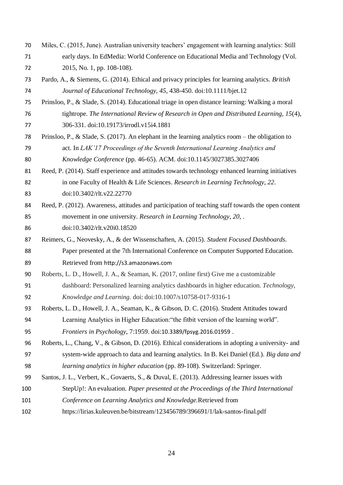- Miles, C. (2015, June). Australian university teachers' engagement with learning analytics: Still early days. In EdMedia: World Conference on Educational Media and Technology (Vol. 72 2015, No. 1, pp. 108-108).
- Pardo, A., & Siemens, G. (2014). Ethical and privacy principles for learning analytics. *British Journal of Educational Technology, 45*, 438-450. doi:10.1111/bjet.12
- Prinsloo, P., & Slade, S. (2014). Educational triage in open distance learning: Walking a moral tightrope. *The International Review of Research in Open and Distributed Learning, 15*(4), 306-331. doi:10.19173/irrodl.v15i4.1881
- Prinsloo, P., & Slade, S. (2017). An elephant in the learning analytics room the obligation to act. In *LAK'17 Proceedings of the Seventh International Learning Analytics and Knowledge Conference* (pp. 46-65). ACM. doi:10.1145/3027385.3027406
- Reed, P. (2014). Staff experience and attitudes towards technology enhanced learning initiatives in one Faculty of Health & Life Sciences. *Research in Learning Technology*, *22*.

doi:10.3402/rlt.v22.22770

- Reed, P. (2012). Awareness, attitudes and participation of teaching staff towards the open content movement in one university. *Research in Learning Technology*, *20,* . doi:10.3402/rlt.v20i0.18520
- Reimers, G., Neovesky, A., & der Wissenschaften, A. (2015). *Student Focused Dashboards.* Paper presented at the 7th International Conference on Computer Supported Education.

Retrieved from http://s3.amazonaws.com

- Roberts, L. D., Howell, J. A., & Seaman, K. (2017, online first) Give me a customizable dashboard: Personalized learning analytics dashboards in higher education. *Technology,*
- *Knowledge and Learning.* doi: doi:10.1007/s10758-017-9316-1
- Roberts, L. D., Howell, J. A., Seaman, K., & Gibson, D. C. (2016). Student Attitudes toward Learning Analytics in Higher Education:"the fitbit version of the learning world".

*Frontiers in Psychology*, 7:1959. doi:10.3389/fpsyg.2016.01959 .

- Roberts, L., Chang, V., & Gibson, D. (2016). Ethical considerations in adopting a university- and system-wide approach to data and learning analytics. In B. Kei Daniel (Ed.). *Big data and learning analytics in higher education* (pp. 89-108). Switzerland: Springer.
- Santos, J. L., Verbert, K., Govaerts, S., & Duval, E. (2013). Addressing learner issues with
- StepUp!: An evaluation. *Paper presented at the Proceedings of the Third International*
- *Conference on Learning Analytics and Knowledge.*Retrieved from
- https://lirias.kuleuven.be/bitstream/123456789/396691/1/lak-santos-final.pdf